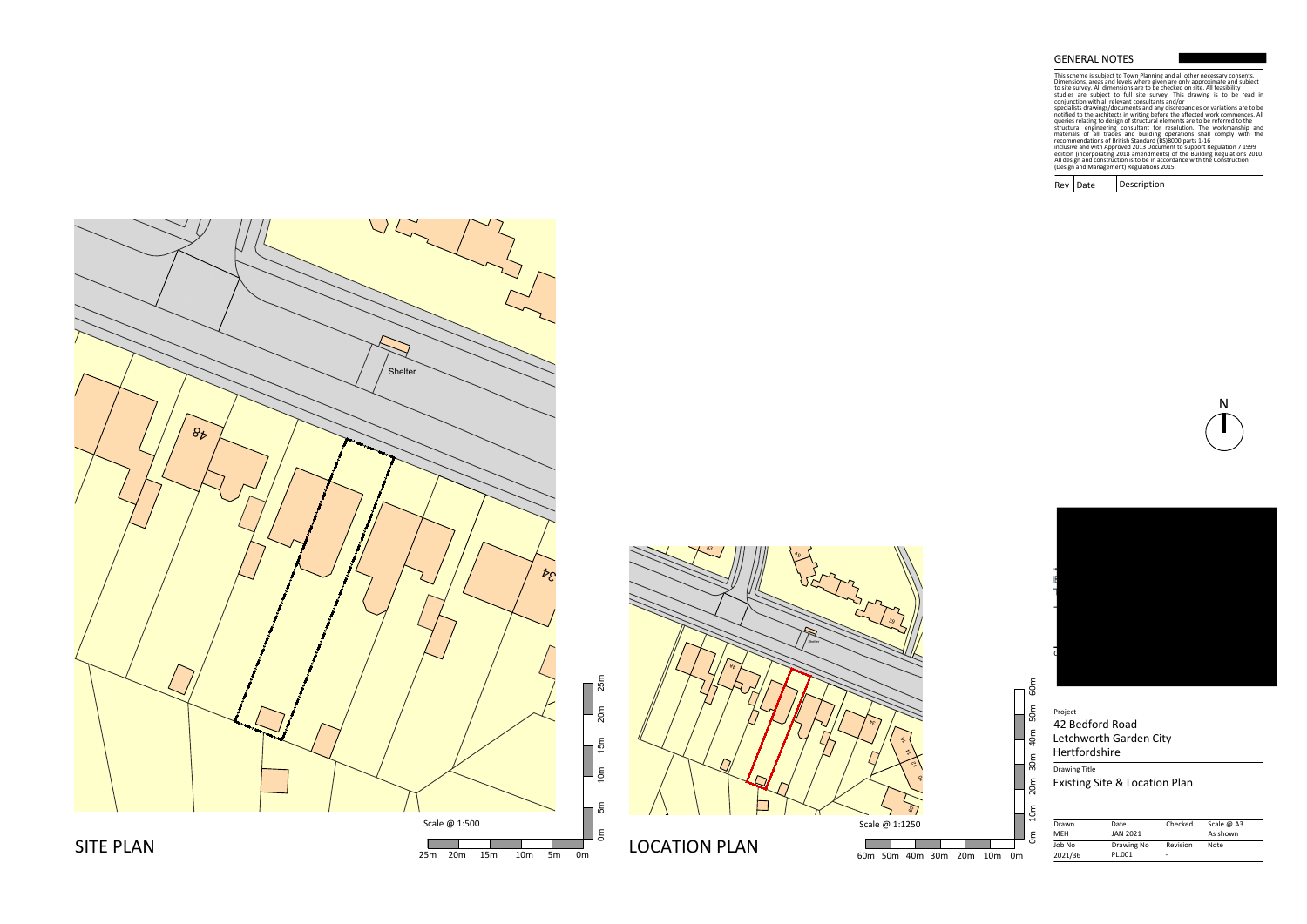$Rev | Date$ Description

Drawing Title Existing Site & Location Plan



| Drawn      | Date            | Checked  | Scale $\omega$ A3 |
|------------|-----------------|----------|-------------------|
| <b>MEH</b> | <b>JAN 2021</b> |          | As shown          |
| Job No     | Drawing No      | Revision | Note              |
| 2021/36    | PL.001          | ۰        |                   |

# Project 42 Bedford Road Letchworth Garden City Hertfordshire

## GENERAL NOTES

This scheme is subject to Town Planning and all other necessary consents.<br>This scheme is subject to Town Planning and all other necessary consents.<br>To ite survey. All dimensions are to be checked on site. All feasibility<br>c





N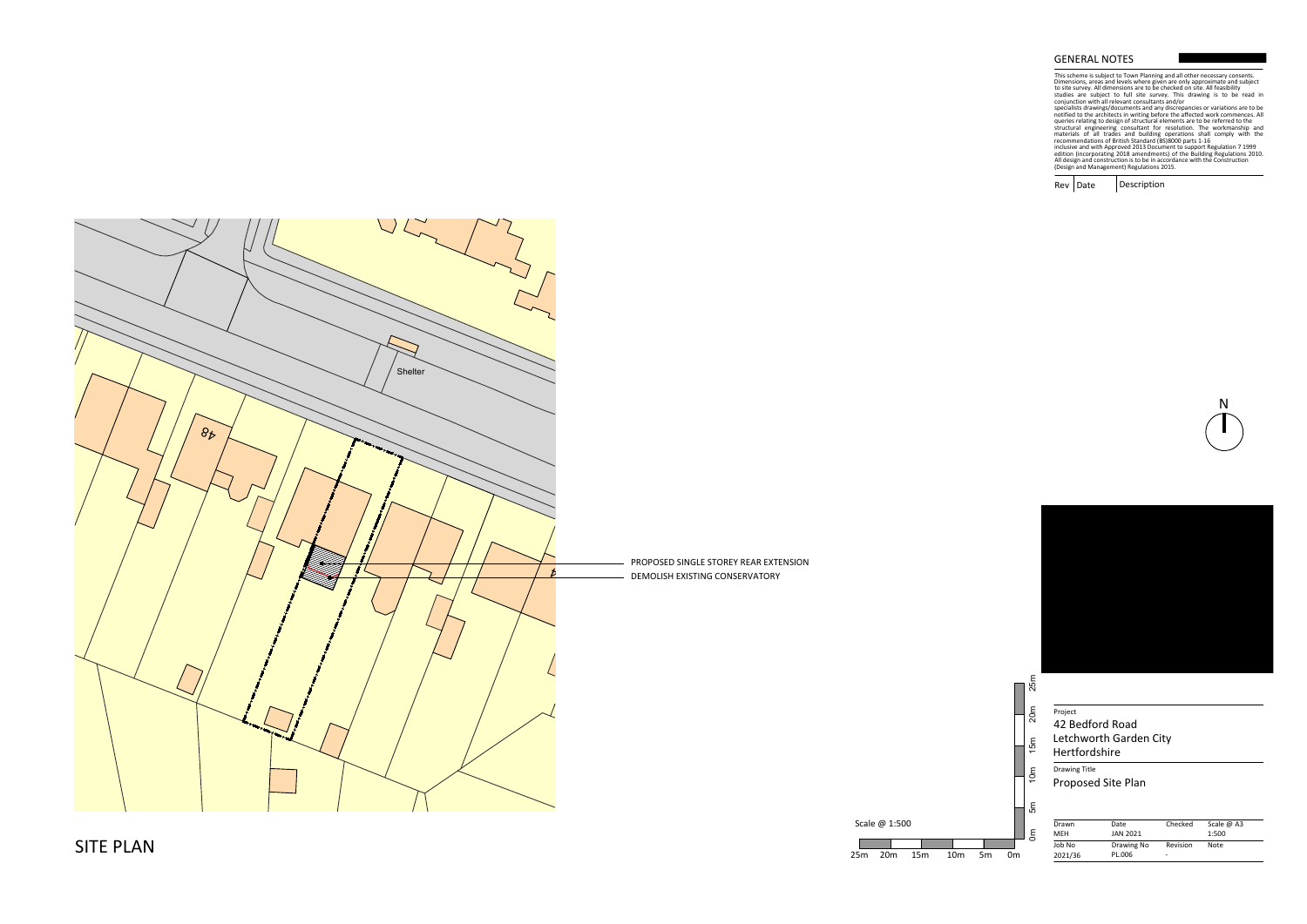Drawing Title

 $Rev | Date$ Description



| Drawn<br><b>MEH</b> | Date<br>JAN 2021 | Checked  | Scale $\omega$ A3<br>1:500 |  |
|---------------------|------------------|----------|----------------------------|--|
| Job No              | Drawing No       | Revision | Note                       |  |
| 2021/36             | PL.006           | ۰        |                            |  |

## Project 42 Bedford Road Letchworth Garden City Hertfordshire

## GENERAL NOTES

This scheme is subject to Town Planning and all other necessary consents.<br>This scheme is subject to Town Planning and all other necessary consents.<br>To ite survey. All dimensions are to be checked on site. All feasibility<br>c



Proposed Site Plan





Scale @ 1:500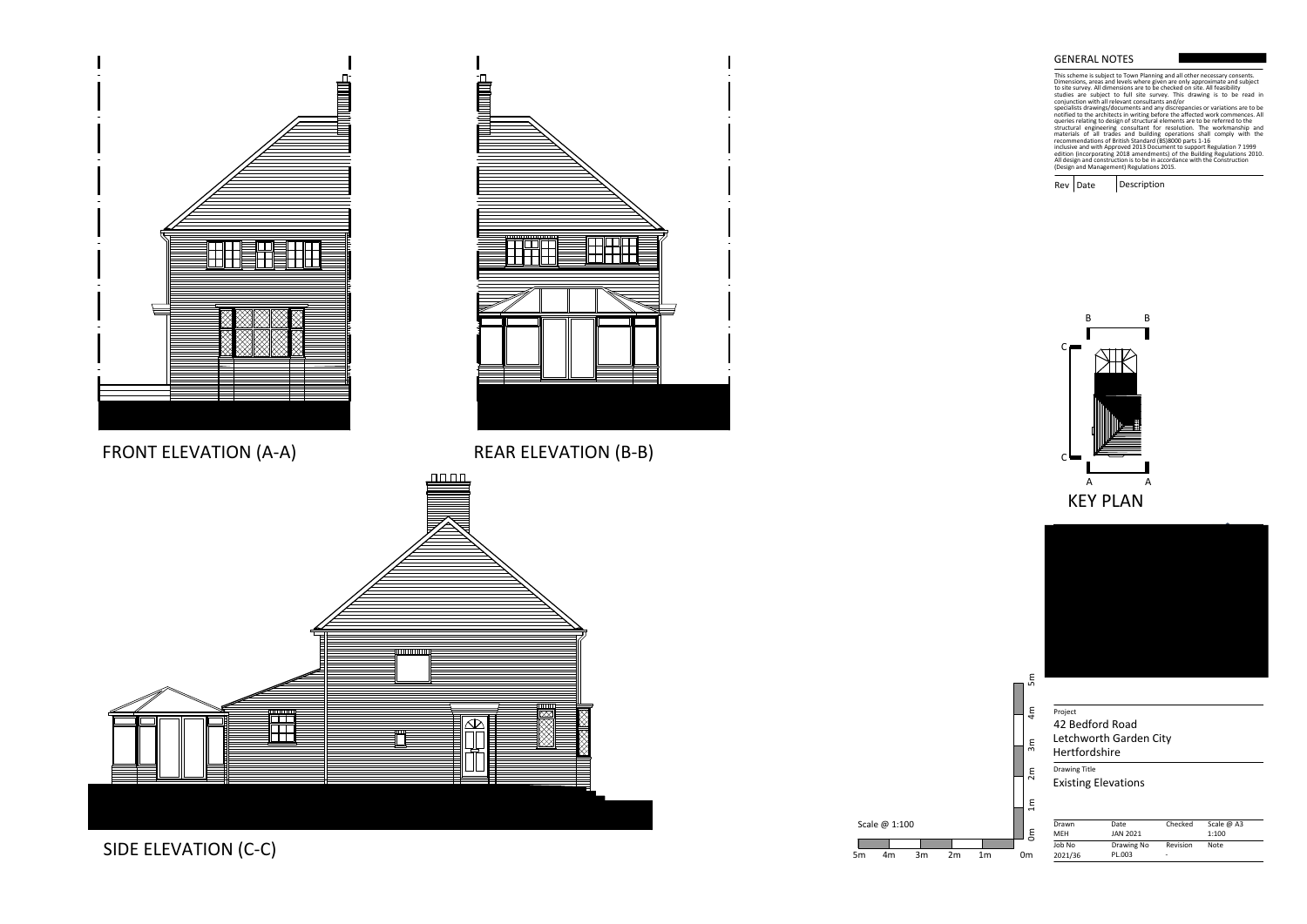Drawing Title

Rev Date Description





| Drawn<br><b>MEH</b> | Date<br><b>JAN 2021</b> | Checked       | Scale $\omega$ A3<br>1:100 |  |
|---------------------|-------------------------|---------------|----------------------------|--|
| Job No<br>2021/36   | Drawing No<br>PL.003    | Revision<br>۰ | Note                       |  |

# Project 42 Bedford Road Letchworth Garden City Hertfordshire

## GENERAL NOTES

This scheme is subject to Town Planning and all other necessary consents.<br>This scheme is subject to Town Planning and all other necessary consents.<br>To ite survey. All dimensions are to be checked on site. All feasibility<br>c

Existing Elevations



Scale @ 1:100

SIDE ELEVATION (C-C)

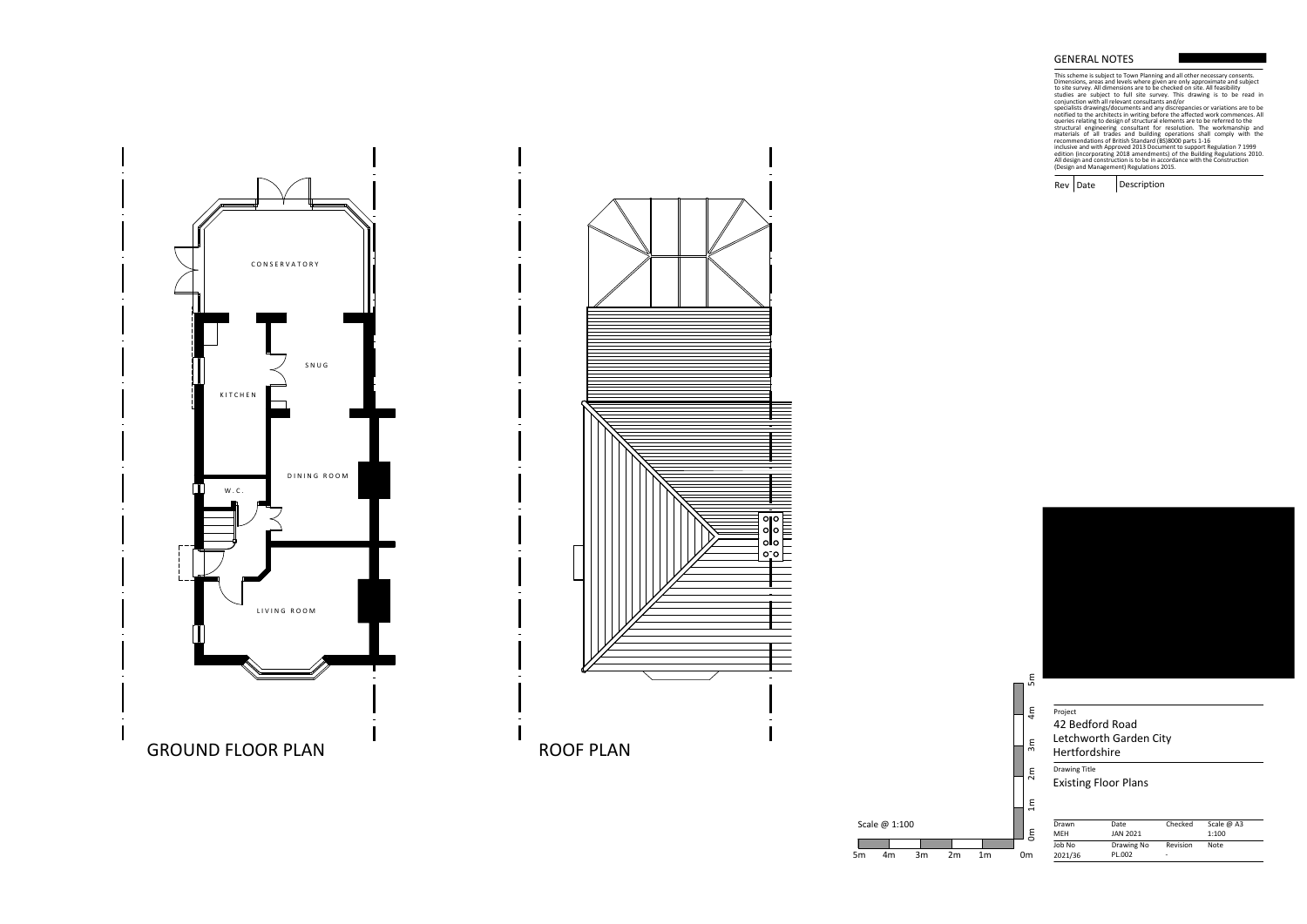Drawing Title

Rev Date Description



 Scale @ 1:100 Scale @ 1:100<br>5m 4m 3m 2m 1m 0m



| Drawn<br><b>MEH</b> | Date<br>JAN 2021     | Checked       | Scale $\omega$ A3<br>1:100 |  |
|---------------------|----------------------|---------------|----------------------------|--|
| Job No<br>2021/36   | Drawing No<br>PL.002 | Revision<br>۰ | Note                       |  |

# Project 42 Bedford Road Letchworth Garden City Hertfordshire

## GENERAL NOTES

This scheme is subject to Town Planning and all other necessary consents.<br>This scheme is subject to Town Planning and all other necessary consents.<br>To ite survey. All dimensions are to be checked on site. All feasibility<br>c



Existing Floor Plans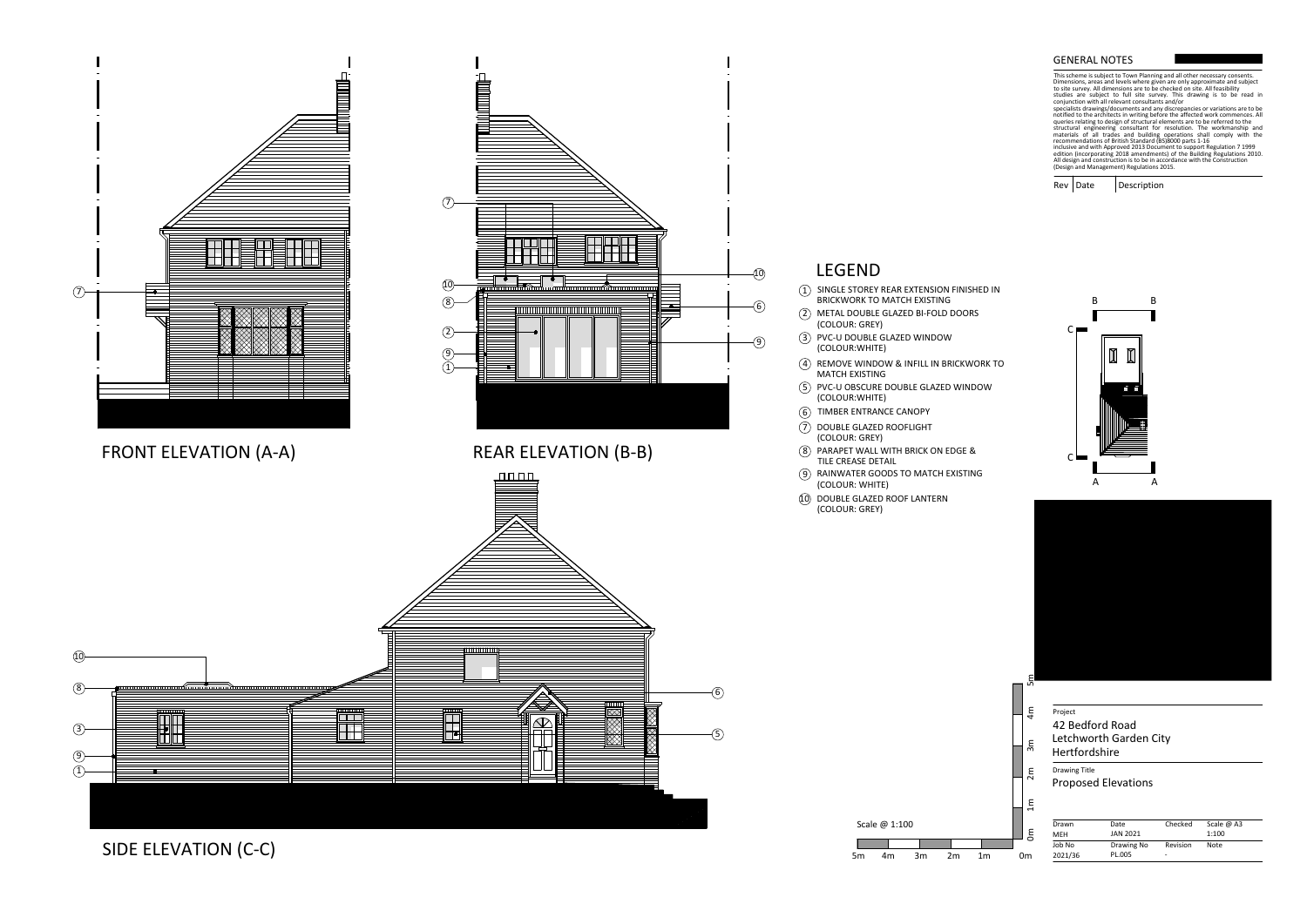

This scheme is subject to Town Planning and all other necessary consents.Dimensions, areas and levels where given are only approximate and subject<br>to site survey. All dimensions are to be checked on site. All feasibility to site survey. All dimensions are to be checked on site. All feasibility

specialists drawings/documents and any discrepancies or variations are to benotified to the architects in writing before the affected work commences. Allqueries relating to design of structural elements are to be referred to the<br>structural engineering consultant for resolution. The workmanship and structural engineering consultant for resolution. The workmanship andmaterials of all trades and building operations shall comply with therecommendations of British Standard (BS)8000 parts 1-16inclusive and with Approved 2013 Document to support Regulation 7 1999edition (incorporating 2018 amendments) of the Building Regulations 2010.All design and construction is to be in accordance with the Construction<br>(Design and Management) Regulations 2015. **GENERAL NOTES**<br>
This scheme is subject to Tov<br>
This scheme is subject to Tov<br>
Dimensions, areas and levels<br>
to site survey. All dimensions<br>
studies are subject to full<br>
conjunction with all relevant<br>
specialists drawings/

Description Rev Date

studies are subject to full site survey. This drawing is to be read inconjunction with all relevant consultants and/or

| 42 Bedford Road<br><b>Hertfordshire</b> | Letchworth Garden City     |          |            |
|-----------------------------------------|----------------------------|----------|------------|
| <b>Drawing Title</b>                    |                            |          |            |
|                                         |                            |          |            |
|                                         |                            |          |            |
|                                         | <b>Proposed Elevations</b> |          |            |
|                                         |                            |          |            |
|                                         |                            |          |            |
| Drawn                                   | Date                       | Checked  | Scale @ A3 |
| MEH                                     | JAN 2021                   |          | 1:100      |
| Job No                                  | Drawing No                 | Revision | Note       |



End to the Project<br>
End to the Hertford:<br>
End the Proposed<br>
End to the Proposed<br>
End to the Proposed<br>
End to the Proposed<br>
Om 2021/36

SIDE ELEVATION (C-C)